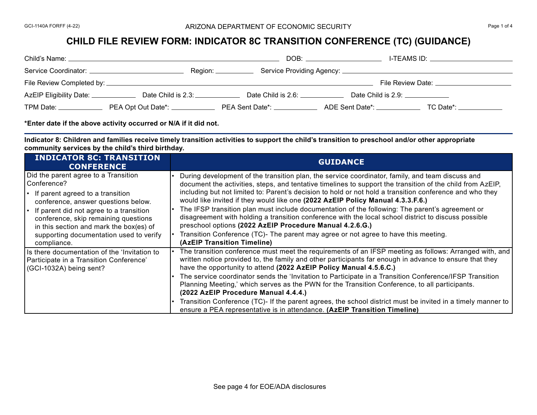## **CHILD FILE REVIEW FORM: INDICATOR 8C TRANSITION CONFERENCE (TC) (GUIDANCE)**

| Child's Name:                        |                           | DOB:               | I-TEAMS ID:                      |
|--------------------------------------|---------------------------|--------------------|----------------------------------|
| Service Coordinator:                 | Region: $\_\_\_\_\_\_\_\$ |                    |                                  |
| File Review Completed by: _          |                           |                    | File Review Date:                |
| AzEIP Eligibility Date: ____________ | Date Child is 2.3:        | Date Child is 2.6: | Date Child is 2.9: _____________ |
| TPM Date:                            | PEA Opt Out Date*: _____  | PEA Sent Date*:    | ADE Sent Date*:<br>TC Date*:     |

**\*Enter date if the above activity occurred or N/A if it did not.**

**Indicator 8: Children and families receive timely transition activities to support the child's transition to preschool and/or other appropriate community services by the child's third birthday.**

| <b>INDICATOR 8C: TRANSITION</b><br><b>CONFERENCE</b>                                                                                                                                                        | <b>GUIDANCE</b>                                                                                                                                                                                                                                                                                                                                                                                                                                                                                                                              |
|-------------------------------------------------------------------------------------------------------------------------------------------------------------------------------------------------------------|----------------------------------------------------------------------------------------------------------------------------------------------------------------------------------------------------------------------------------------------------------------------------------------------------------------------------------------------------------------------------------------------------------------------------------------------------------------------------------------------------------------------------------------------|
| Did the parent agree to a Transition<br>Conference?<br>$\cdot$ If parent agreed to a transition<br>conference, answer questions below.                                                                      | During development of the transition plan, the service coordinator, family, and team discuss and<br>document the activities, steps, and tentative timelines to support the transition of the child from AzEIP,<br>including but not limited to: Parent's decision to hold or not hold a transition conference and who they<br>would like invited if they would like one (2022 AzEIP Policy Manual 4.3.3.F.6.)                                                                                                                                |
| $\left  \cdot \right $ if parent did not agree to a transition<br>conference, skip remaining questions<br>in this section and mark the box(es) of<br>supporting documentation used to verify<br>compliance. | The IFSP transition plan must include documentation of the following: The parent's agreement or<br>disagreement with holding a transition conference with the local school district to discuss possible<br>preschool options (2022 AzEIP Procedure Manual 4.2.6.G.)<br>Transition Conference (TC)- The parent may agree or not agree to have this meeting.<br>(AzEIP Transition Timeline)                                                                                                                                                    |
| Is there documentation of the 'Invitation to<br>Participate in a Transition Conference'<br>(GCI-1032A) being sent?                                                                                          | The transition conference must meet the requirements of an IFSP meeting as follows: Arranged with, and<br>written notice provided to, the family and other participants far enough in advance to ensure that they<br>have the opportunity to attend (2022 AzEIP Policy Manual 4.5.6.C.)<br>The service coordinator sends the 'Invitation to Participate in a Transition Conference/IFSP Transition<br>Planning Meeting,' which serves as the PWN for the Transition Conference, to all participants.<br>(2022 AzEIP Procedure Manual 4.4.4.) |
|                                                                                                                                                                                                             | Transition Conference (TC)- If the parent agrees, the school district must be invited in a timely manner to<br>ensure a PEA representative is in attendance. (AzEIP Transition Timeline)                                                                                                                                                                                                                                                                                                                                                     |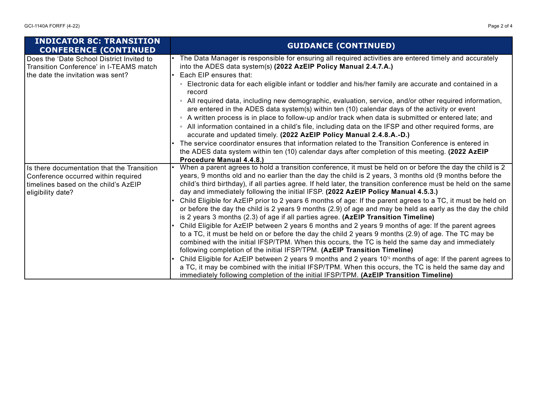| <b>INDICATOR 8C: TRANSITION</b><br><b>CONFERENCE (CONTINUED)</b>                                                          | <b>GUIDANCE (CONTINUED)</b>                                                                                                                                                                                                                                                                                            |
|---------------------------------------------------------------------------------------------------------------------------|------------------------------------------------------------------------------------------------------------------------------------------------------------------------------------------------------------------------------------------------------------------------------------------------------------------------|
| Does the 'Date School District Invited to<br>Transition Conference' in I-TEAMS match<br>the date the invitation was sent? | The Data Manager is responsible for ensuring all required activities are entered timely and accurately<br>into the ADES data system(s) (2022 AzEIP Policy Manual 2.4.7.A.)<br>Each EIP ensures that:                                                                                                                   |
|                                                                                                                           | ∘ Electronic data for each eligible infant or toddler and his/her family are accurate and contained in a<br>record                                                                                                                                                                                                     |
|                                                                                                                           | • All required data, including new demographic, evaluation, service, and/or other required information,<br>are entered in the ADES data system(s) within ten (10) calendar days of the activity or event                                                                                                               |
|                                                                                                                           | • A written process is in place to follow-up and/or track when data is submitted or entered late; and                                                                                                                                                                                                                  |
|                                                                                                                           | • All information contained in a child's file, including data on the IFSP and other required forms, are<br>accurate and updated timely. (2022 AzEIP Policy Manual 2.4.8.A.-D.)                                                                                                                                         |
|                                                                                                                           | The service coordinator ensures that information related to the Transition Conference is entered in                                                                                                                                                                                                                    |
|                                                                                                                           | the ADES data system within ten (10) calendar days after completion of this meeting. (2022 AzEIP<br>Procedure Manual 4.4.8.)                                                                                                                                                                                           |
| Is there documentation that the Transition<br>Conference occurred within required                                         | When a parent agrees to hold a transition conference, it must be held on or before the day the child is 2<br>years, 9 months old and no earlier than the day the child is 2 years, 3 months old (9 months before the                                                                                                   |
| timelines based on the child's AzEIP<br>eligibility date?                                                                 | child's third birthday), if all parties agree. If held later, the transition conference must be held on the same<br>day and immediately following the initial IFSP. (2022 AzEIP Policy Manual 4.5.3.)                                                                                                                  |
|                                                                                                                           | Child Eligible for AzEIP prior to 2 years 6 months of age: If the parent agrees to a TC, it must be held on<br>or before the day the child is 2 years 9 months (2.9) of age and may be held as early as the day the child<br>is 2 years 3 months (2.3) of age if all parties agree. (AzEIP Transition Timeline)        |
|                                                                                                                           | Child Eligible for AzEIP between 2 years 6 months and 2 years 9 months of age: If the parent agrees<br>to a TC, it must be held on or before the day the child 2 years 9 months (2.9) of age. The TC may be<br>combined with the initial IFSP/TPM. When this occurs, the TC is held the same day and immediately       |
|                                                                                                                           | following completion of the initial IFSP/TPM. (AzEIP Transition Timeline)                                                                                                                                                                                                                                              |
|                                                                                                                           | Child Eligible for AzEIP between 2 years 9 months and 2 years 10 <sup>%</sup> months of age: If the parent agrees to<br>a TC, it may be combined with the initial IFSP/TPM. When this occurs, the TC is held the same day and<br>immediately following completion of the initial IFSP/TPM. (AzEIP Transition Timeline) |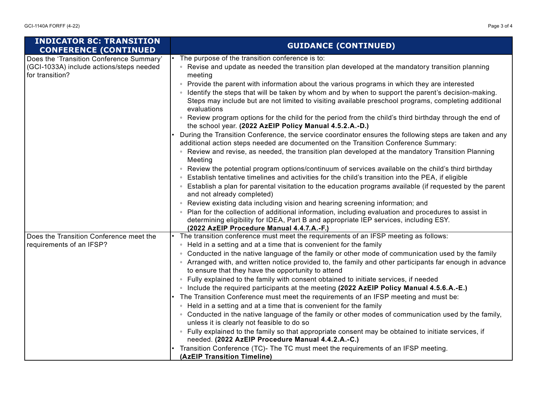| <b>INDICATOR 8C: TRANSITION</b><br><b>CONFERENCE (CONTINUED</b>                                         | <b>GUIDANCE (CONTINUED)</b>                                                                                                                                                                                                                                                                                                   |
|---------------------------------------------------------------------------------------------------------|-------------------------------------------------------------------------------------------------------------------------------------------------------------------------------------------------------------------------------------------------------------------------------------------------------------------------------|
| Does the 'Transition Conference Summary'<br>(GCI-1033A) include actions/steps needed<br>for transition? | The purpose of the transition conference is to:<br>• Revise and update as needed the transition plan developed at the mandatory transition planning<br>meeting                                                                                                                                                                |
|                                                                                                         | • Provide the parent with information about the various programs in which they are interested<br>• Identify the steps that will be taken by whom and by when to support the parent's decision-making.<br>Steps may include but are not limited to visiting available preschool programs, completing additional<br>evaluations |
|                                                                                                         | • Review program options for the child for the period from the child's third birthday through the end of<br>the school year. (2022 AzEIP Policy Manual 4.5.2.A.-D.)                                                                                                                                                           |
|                                                                                                         | During the Transition Conference, the service coordinator ensures the following steps are taken and any<br>additional action steps needed are documented on the Transition Conference Summary:                                                                                                                                |
|                                                                                                         | • Review and revise, as needed, the transition plan developed at the mandatory Transition Planning<br>Meeting                                                                                                                                                                                                                 |
|                                                                                                         | • Review the potential program options/continuum of services available on the child's third birthday<br>• Establish tentative timelines and activities for the child's transition into the PEA, if eligible                                                                                                                   |
|                                                                                                         | ∘ Establish a plan for parental visitation to the education programs available (if requested by the parent<br>and not already completed)                                                                                                                                                                                      |
|                                                                                                         | • Review existing data including vision and hearing screening information; and                                                                                                                                                                                                                                                |
|                                                                                                         | ◦ Plan for the collection of additional information, including evaluation and procedures to assist in<br>determining eligibility for IDEA, Part B and appropriate IEP services, including ESY.<br>(2022 AzEIP Procedure Manual 4.4.7.A.-F.)                                                                                   |
| Does the Transition Conference meet the                                                                 | The transition conference must meet the requirements of an IFSP meeting as follows:                                                                                                                                                                                                                                           |
| requirements of an IFSP?                                                                                | • Held in a setting and at a time that is convenient for the family                                                                                                                                                                                                                                                           |
|                                                                                                         | • Conducted in the native language of the family or other mode of communication used by the family                                                                                                                                                                                                                            |
|                                                                                                         | • Arranged with, and written notice provided to, the family and other participants far enough in advance<br>to ensure that they have the opportunity to attend                                                                                                                                                                |
|                                                                                                         | • Fully explained to the family with consent obtained to initiate services, if needed                                                                                                                                                                                                                                         |
|                                                                                                         | • Include the required participants at the meeting (2022 AzEIP Policy Manual 4.5.6.A.-E.)                                                                                                                                                                                                                                     |
|                                                                                                         | The Transition Conference must meet the requirements of an IFSP meeting and must be:                                                                                                                                                                                                                                          |
|                                                                                                         | • Held in a setting and at a time that is convenient for the family                                                                                                                                                                                                                                                           |
|                                                                                                         | ∘ Conducted in the native language of the family or other modes of communication used by the family,<br>unless it is clearly not feasible to do so                                                                                                                                                                            |
|                                                                                                         | • Fully explained to the family so that appropriate consent may be obtained to initiate services, if<br>needed. (2022 AzEIP Procedure Manual 4.4.2.A.-C.)                                                                                                                                                                     |
|                                                                                                         | Transition Conference (TC)- The TC must meet the requirements of an IFSP meeting.<br>(AzEIP Transition Timeline)                                                                                                                                                                                                              |